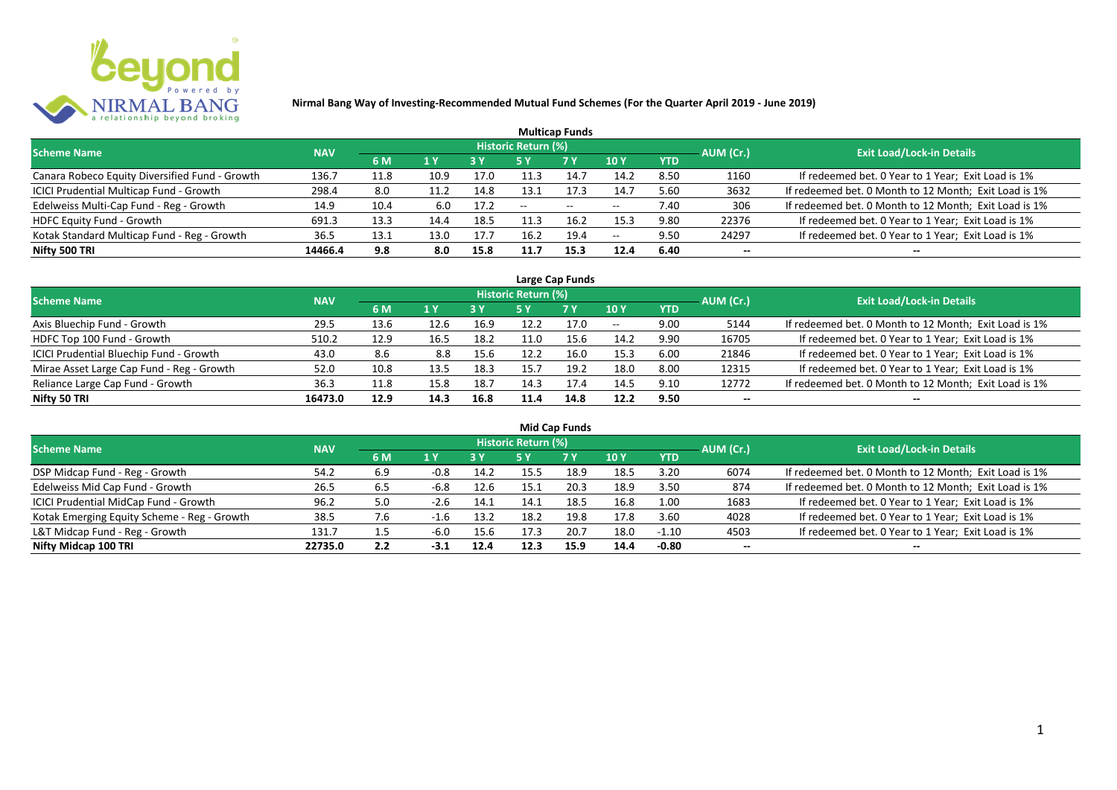

|                                                |            |      |      |            |                     | <b>Multicap Funds</b>    |                          |            |           |                                                       |
|------------------------------------------------|------------|------|------|------------|---------------------|--------------------------|--------------------------|------------|-----------|-------------------------------------------------------|
| <b>Scheme Name</b>                             | <b>NAV</b> |      |      |            | Historic Return (%) |                          |                          |            | AUM (Cr.) | <b>Exit Load/Lock-in Details</b>                      |
|                                                |            | 6 M  | 1 Y  | <b>3 Y</b> |                     | <b>7Y</b>                | <b>10Y</b>               | <b>YTD</b> |           |                                                       |
| Canara Robeco Equity Diversified Fund - Growth | 136.7      | 11.8 | 10.9 | 17.0       | 11.3                | 14.7                     | 14.2                     | 8.50       | 1160      | If redeemed bet. 0 Year to 1 Year; Exit Load is 1%    |
| ICICI Prudential Multicap Fund - Growth        | 298.4      | 8.0  | 11.2 | 14.8       | 13.1                | 17.3                     | 14.7                     | 5.60       | 3632      | If redeemed bet. 0 Month to 12 Month; Exit Load is 1% |
| Edelweiss Multi-Cap Fund - Reg - Growth        | 14.9       | 10.4 | 6.0  | 17.2       | $- -$               | $\overline{\phantom{a}}$ | $\hspace{0.05cm} \ldots$ | 7.40       | 306       | If redeemed bet. 0 Month to 12 Month; Exit Load is 1% |
| HDFC Equity Fund - Growth                      | 691.3      | 13.3 | 14.4 | 18.5       | 11.3                | 16.2                     | 15.3                     | 9.80       | 22376     | If redeemed bet. 0 Year to 1 Year; Exit Load is 1%    |
| Kotak Standard Multicap Fund - Reg - Growth    | 36.5       | 13.1 | 13.0 | 17.7       | 16.2                | 19.4                     | $\overline{\phantom{a}}$ | 9.50       | 24297     | If redeemed bet. 0 Year to 1 Year; Exit Load is 1%    |
| Nifty 500 TRI                                  | 14466.4    | 9.8  | 8.0  | 15.8       | 11.7                | 15.3                     | 12.4                     | 6.40       | $- -$     | --                                                    |

| Large Cap Funds                           |            |      |                  |      |                     |           |            |            |           |                                                       |  |  |  |
|-------------------------------------------|------------|------|------------------|------|---------------------|-----------|------------|------------|-----------|-------------------------------------------------------|--|--|--|
| Scheme Name                               | <b>NAV</b> |      |                  |      | Historic Return (%) |           |            |            | AUM (Cr.) | <b>Exit Load/Lock-in Details</b>                      |  |  |  |
|                                           |            | 6 M  | $\overline{1}$ Y |      | 5 Y                 | <b>7Y</b> | <b>10Y</b> | <b>YTD</b> |           |                                                       |  |  |  |
| Axis Bluechip Fund - Growth               | 29.5       | 13.6 | 12.6             | 16.9 | 12.2                | 17.0      | $- -$      | 9.00       | 5144      | If redeemed bet. 0 Month to 12 Month; Exit Load is 1% |  |  |  |
| HDFC Top 100 Fund - Growth                | 510.2      | 12.9 | 16.5             | 18.2 |                     | 15.6      | 14.2       | 9.90       | 16705     | If redeemed bet. 0 Year to 1 Year; Exit Load is 1%    |  |  |  |
| ICICI Prudential Bluechip Fund - Growth   | 43.0       | 8.6  | 8.8              | 15.6 | 12.2                | 16.0      | 15.3       | 6.00       | 21846     | If redeemed bet. 0 Year to 1 Year; Exit Load is 1%    |  |  |  |
| Mirae Asset Large Cap Fund - Reg - Growth | 52.0       | 10.8 | 13.5             | 18.3 | 15.7                | 19.2      | 18.0       | 8.00       | 12315     | If redeemed bet. 0 Year to 1 Year; Exit Load is 1%    |  |  |  |
| Reliance Large Cap Fund - Growth          | 36.3       | 11.8 | 15.8             | 18.7 | 14.3                | 17.4      | 14.5       | 9.10       | 12772     | If redeemed bet. 0 Month to 12 Month; Exit Load is 1% |  |  |  |
| Nifty 50 TRI                              | 16473.0    | 12.9 | 14.3             | 16.8 | 11.4                | 14.8      | 12.2       | 9.50       |           |                                                       |  |  |  |

| <b>Mid Cap Funds</b>                        |            |     |        |      |                            |      |      |            |                          |                                                       |  |  |  |
|---------------------------------------------|------------|-----|--------|------|----------------------------|------|------|------------|--------------------------|-------------------------------------------------------|--|--|--|
| <b>Scheme Name</b>                          | <b>NAV</b> |     |        |      | <b>Historic Return (%)</b> |      |      |            | AUM (Cr.)                | <b>Exit Load/Lock-in Details</b>                      |  |  |  |
|                                             |            | 6 M | 1 Y    | 3 Y  | 5 Y                        | 7 Y  | 10 Y | <b>YTD</b> |                          |                                                       |  |  |  |
| DSP Midcap Fund - Reg - Growth              | 54.2       | 6.9 | $-0.8$ | 14.2 |                            | 18.9 | 18.5 | 3.20       | 6074                     | If redeemed bet. 0 Month to 12 Month; Exit Load is 1% |  |  |  |
| Edelweiss Mid Cap Fund - Growth             | 26.5       | 6.5 | -6.8   | 12.6 | 15.1                       | 20.3 | 18.9 | 3.50       | 874                      | If redeemed bet. 0 Month to 12 Month; Exit Load is 1% |  |  |  |
| ICICI Prudential MidCap Fund - Growth       | 96.2       | 5.0 | $-2.6$ | 14.1 | 14.1                       | 18.5 | 16.8 | 1.00       | 1683                     | If redeemed bet. 0 Year to 1 Year; Exit Load is 1%    |  |  |  |
| Kotak Emerging Equity Scheme - Reg - Growth | 38.5       | 7.6 | -1.6   | 13.2 | 18.2                       | 19.8 | 17.8 | 3.60       | 4028                     | If redeemed bet. 0 Year to 1 Year; Exit Load is 1%    |  |  |  |
| L&T Midcap Fund - Reg - Growth              | 131.7      | 1.5 | $-6.0$ | 15.6 | 17.3                       | 20.7 | 18.0 | $-1.10$    | 4503                     | If redeemed bet. 0 Year to 1 Year; Exit Load is 1%    |  |  |  |
| Nifty Midcap 100 TRI                        | 22735.0    | 2.2 | -3.1   | 12.4 | 12.3                       | 15.9 | 14.4 | $-0.80$    | $\overline{\phantom{a}}$ | --                                                    |  |  |  |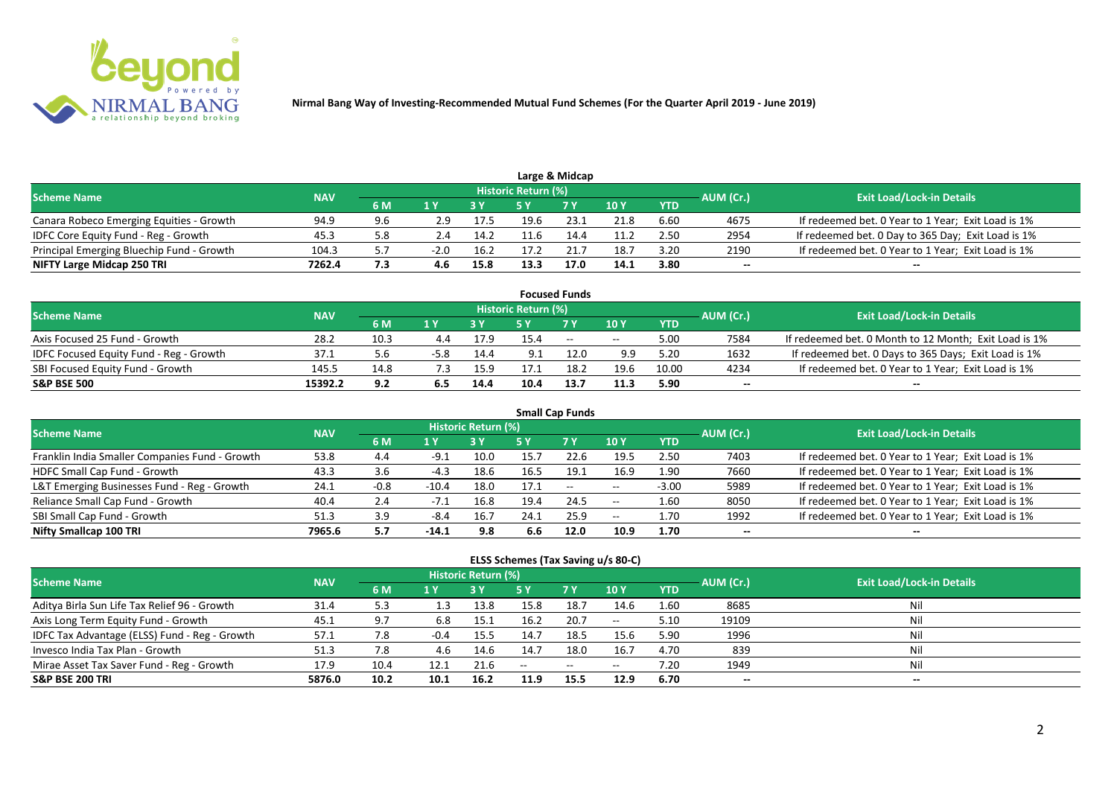

|                                           |            |     |        |      |                            | Large & Midcap |      |            |           |                                                    |
|-------------------------------------------|------------|-----|--------|------|----------------------------|----------------|------|------------|-----------|----------------------------------------------------|
| <b>Scheme Name</b>                        | <b>NAV</b> |     |        |      | <b>Historic Return (%)</b> |                |      |            | AUM (Cr.) | <b>Exit Load/Lock-in Details</b>                   |
|                                           |            | 6 M |        |      |                            | 7 Y            | 10 Y | <b>YTD</b> |           |                                                    |
| Canara Robeco Emerging Equities - Growth  | 94.9       | 9.6 | 2.9    | 17.5 | 19.6                       | 23.1           | 21.8 | 6.60       | 4675      | If redeemed bet. 0 Year to 1 Year; Exit Load is 1% |
| IDFC Core Equity Fund - Reg - Growth      | 3.45       | 5.8 |        | 14.2 | 11.6                       | 14.4           | 11.2 | 2.50       | 2954      | If redeemed bet. 0 Day to 365 Day; Exit Load is 1% |
| Principal Emerging Bluechip Fund - Growth | 104.3      |     | $-2.0$ | 16.2 | 17 7                       |                | 18.7 | 3.20       | 2190      | If redeemed bet. 0 Year to 1 Year; Exit Load is 1% |
| NIFTY Large Midcap 250 TRI                | 7262.4     | 7.3 |        | 15.8 | 13.3                       | 17.0           | 14.1 | 3.80       | --        | $- -$                                              |

|                                                |            |      |        |      |                     | <b>Focused Funds</b> |       |            |           |                                                       |
|------------------------------------------------|------------|------|--------|------|---------------------|----------------------|-------|------------|-----------|-------------------------------------------------------|
| <b>Scheme Name</b>                             | <b>NAV</b> |      |        |      | Historic Return (%) |                      |       |            | AUM (Cr.) | <b>Exit Load/Lock-in Details</b>                      |
|                                                |            | 6 M  | 1 V    |      |                     | 7 Y                  | 10Y   | <b>YTD</b> |           |                                                       |
| Axis Focused 25 Fund - Growth                  | 28.2       | 10.3 | 4.4    | 17.9 | 15.4                | $\sim$               | $- -$ | 5.00       | 7584      | If redeemed bet. 0 Month to 12 Month; Exit Load is 1% |
| <b>IDFC Focused Equity Fund - Reg - Growth</b> | 37.1       | 5.6  | $-5.8$ | 14.4 | 9.1                 | 12.0                 | 9.9   | 5.20       | 1632      | If redeemed bet. 0 Days to 365 Days; Exit Load is 1%  |
| SBI Focused Equity Fund - Growth               | 145.5      | 14.8 |        | 15.9 |                     | 18.2                 | 19.6  | 10.00      | 4234      | If redeemed bet. 0 Year to 1 Year; Exit Load is 1%    |
| <b>S&amp;P BSE 500</b>                         | 15392.2    | 9.2  | 6.5    | 14.4 | 10.4                | 13.7                 | 11.3  | 5.90       | --        | --                                                    |

| <b>Small Cap Funds</b>                         |            |        |         |                            |      |           |       |            |           |                                                    |  |  |  |
|------------------------------------------------|------------|--------|---------|----------------------------|------|-----------|-------|------------|-----------|----------------------------------------------------|--|--|--|
| <b>Scheme Name</b>                             | <b>NAV</b> |        |         | <b>Historic Return (%)</b> |      |           |       |            | AUM (Cr.) | <b>Exit Load/Lock-in Details</b>                   |  |  |  |
|                                                |            | 6 M    | 1 Y     |                            | 5 Y  | <b>7Y</b> | 10Y   | <b>YTD</b> |           |                                                    |  |  |  |
| Franklin India Smaller Companies Fund - Growth | 53.8       | 4.4    | $-9.1$  | 10.0                       | 15.7 | 22.6      | 19.5  | 2.50       | 7403      | If redeemed bet. 0 Year to 1 Year; Exit Load is 1% |  |  |  |
| HDFC Small Cap Fund - Growth                   | 43.3       | 3.6    | $-4.3$  | 18.6                       | 16.5 | 19.1      | 16.9  | 1.90       | 7660      | If redeemed bet. 0 Year to 1 Year; Exit Load is 1% |  |  |  |
| L&T Emerging Businesses Fund - Reg - Growth    | 24.1       | $-0.8$ | $-10.4$ | 18.0                       | 17.1 | $\sim$    | $- -$ | $-3.00$    | 5989      | If redeemed bet. 0 Year to 1 Year; Exit Load is 1% |  |  |  |
| Reliance Small Cap Fund - Growth               | 40.4       | 2.4    | -7.1    | 16.8                       | 19.4 | 24.5      | $- -$ | 1.60       | 8050      | If redeemed bet. 0 Year to 1 Year; Exit Load is 1% |  |  |  |
| SBI Small Cap Fund - Growth                    | 51.3       | 3.9    | $-8.4$  | 16.7                       | 24.1 | 25.9      | $- -$ | 1.70       | 1992      | If redeemed bet. 0 Year to 1 Year; Exit Load is 1% |  |  |  |
| Nifty Smallcap 100 TRI                         | 7965.6     | 5.7    | -14.1   | 9.8                        | 6.6  | 12.0      | 10.9  | 1.70       | $- -$     | --                                                 |  |  |  |

### **ELSS Schemes (Tax Saving u/s 80-C)**

| Scheme Name                                   | <b>NAV</b> |      |        | Historic Return (%) |        |                                                |                          |            | AUM (Cr.) | <b>Exit Load/Lock-in Details</b> |
|-----------------------------------------------|------------|------|--------|---------------------|--------|------------------------------------------------|--------------------------|------------|-----------|----------------------------------|
|                                               |            | 6 M  | 1 Y    |                     |        | <b>7Y</b>                                      | 10 <sub>Y</sub>          | <b>YTD</b> |           |                                  |
| Aditya Birla Sun Life Tax Relief 96 - Growth  | 31.4       | 5.3  |        | 13.8                | 15.8   | 18.7                                           | 14.6                     | 1.60       | 8685      | Nil                              |
| Axis Long Term Equity Fund - Growth           | 45.1       | 9.7  | 6.8    | 15.1                | 16.2   | 20.7                                           | $\overline{\phantom{m}}$ | 5.10       | 19109     | Nil                              |
| IDFC Tax Advantage (ELSS) Fund - Reg - Growth | 57.1       | 7.8  | $-0.4$ | 15.5                | 14.7   | 18.5                                           | 15.6                     | 5.90       | 1996      | Nil                              |
| Invesco India Tax Plan - Growth               | 51.3       | 7.8  | 4.6    | 14.6                | 14.7   | 18.0                                           | 16.7                     | 4.70       | 839       | Nil                              |
| Mirae Asset Tax Saver Fund - Reg - Growth     | 17.9       | 10.4 | 12.1   | 21.6                | $\sim$ | $\hspace{0.1mm}-\hspace{0.1mm}-\hspace{0.1mm}$ | $- -$                    | 7.20       | 1949      | Nil                              |
| <b>S&amp;P BSE 200 TRI</b>                    | 5876.0     | 10.2 | 10.1   | 16.2                | 11.9   | 15.5                                           | 12.9                     | 6.70       | $-$       | $- -$                            |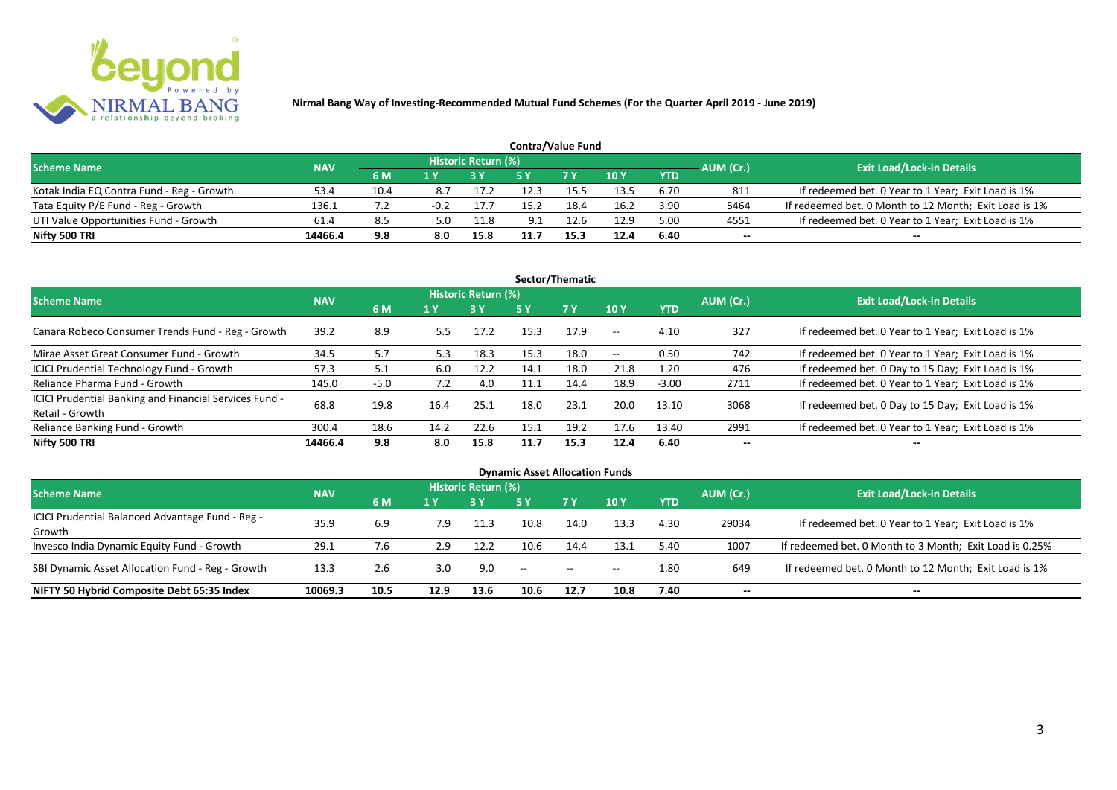

|                                           |            |      |        |                     | <b>Contra/Value Fund</b> |            |      |            |           |                                                       |
|-------------------------------------------|------------|------|--------|---------------------|--------------------------|------------|------|------------|-----------|-------------------------------------------------------|
| <b>Scheme Name</b>                        | <b>NAV</b> |      |        | Historic Return (%) |                          |            |      |            | AUM (Cr.) | <b>Exit Load/Lock-in Details</b>                      |
|                                           |            | 6 M  |        |                     |                          | <b>7 Y</b> | 10Y  | <b>YTD</b> |           |                                                       |
| Kotak India EQ Contra Fund - Reg - Growth | 53.4       | 10.4 | 8.7    | 17.2                |                          |            | 13.5 | 6.70       | 811       | If redeemed bet. 0 Year to 1 Year; Exit Load is 1%    |
| Tata Equity P/E Fund - Reg - Growth       | 136.1      |      | $-0.2$ | 17.7                | 15.2                     | 18.4       | 16.2 | 3.90       | 5464      | If redeemed bet. 0 Month to 12 Month; Exit Load is 1% |
| UTI Value Opportunities Fund - Growth     | 61.4       | 8.5  | 5.0    | 11.8                | 9.1                      | 12.6       | 12.9 | 5.00       | 4551      | If redeemed bet. 0 Year to 1 Year; Exit Load is 1%    |
| Nifty 500 TRI                             | 14466.4    | 9.8  | 8.0    | 15.8                |                          | 15.3       | 12.4 | 6.40       | --        | $- -$                                                 |

| Sector/Thematic                                                           |            |        |      |                            |      |           |                          |            |           |                                                    |  |  |  |
|---------------------------------------------------------------------------|------------|--------|------|----------------------------|------|-----------|--------------------------|------------|-----------|----------------------------------------------------|--|--|--|
| <b>Scheme Name</b>                                                        | <b>NAV</b> |        |      | <b>Historic Return (%)</b> |      |           |                          |            | AUM (Cr.) | <b>Exit Load/Lock-in Details</b>                   |  |  |  |
|                                                                           |            | 6 M    | 1 Y  | <b>3 Y</b>                 | 5 Y  | <b>7Y</b> | <b>10Y</b>               | <b>YTD</b> |           |                                                    |  |  |  |
| Canara Robeco Consumer Trends Fund - Reg - Growth                         | 39.2       | 8.9    | 5.5  | 17.2                       | 15.3 | 17.9      | $-$                      | 4.10       | 327       | If redeemed bet. 0 Year to 1 Year; Exit Load is 1% |  |  |  |
| Mirae Asset Great Consumer Fund - Growth                                  | 34.5       | 5.7    | 5.3  | 18.3                       | 15.3 | 18.0      | $\overline{\phantom{a}}$ | 0.50       | 742       | If redeemed bet. 0 Year to 1 Year; Exit Load is 1% |  |  |  |
| ICICI Prudential Technology Fund - Growth                                 | 57.3       | 5.1    | 6.0  | 12.2                       | 14.1 | 18.0      | 21.8                     | 1.20       | 476       | If redeemed bet. 0 Day to 15 Day; Exit Load is 1%  |  |  |  |
| Reliance Pharma Fund - Growth                                             | 145.0      | $-5.0$ | 7.2  | 4.0                        |      | 14.4      | 18.9                     | $-3.00$    | 2711      | If redeemed bet. 0 Year to 1 Year; Exit Load is 1% |  |  |  |
| ICICI Prudential Banking and Financial Services Fund -<br>Retail - Growth | 68.8       | 19.8   | 16.4 | 25.1                       | 18.0 | 23.1      | 20.0                     | 13.10      | 3068      | If redeemed bet. 0 Day to 15 Day; Exit Load is 1%  |  |  |  |
| Reliance Banking Fund - Growth                                            | 300.4      | 18.6   | 14.2 | 22.6                       | 15.1 | 19.2      | 17.6                     | 13.40      | 2991      | If redeemed bet. 0 Year to 1 Year; Exit Load is 1% |  |  |  |
| Nifty 500 TRI                                                             | 14466.4    | 9.8    | 8.0  | 15.8                       | 11.7 | 15.3      | 12.4                     | 6.40       | $- -$     | $\overline{\phantom{a}}$                           |  |  |  |

| <b>Dynamic Asset Allocation Funds</b>            |            |      |      |                            |      |           |            |            |           |                                                         |  |  |  |
|--------------------------------------------------|------------|------|------|----------------------------|------|-----------|------------|------------|-----------|---------------------------------------------------------|--|--|--|
| <b>Scheme Name</b>                               | <b>NAV</b> |      |      | <b>Historic Return (%)</b> |      |           |            |            |           | <b>Exit Load/Lock-in Details</b>                        |  |  |  |
|                                                  |            | 6 M  | 1 Y  |                            | 5 Y  | <b>7Y</b> | <b>10Y</b> | <b>YTD</b> | AUM (Cr.) |                                                         |  |  |  |
| ICICI Prudential Balanced Advantage Fund - Reg - |            |      |      |                            |      |           |            |            |           |                                                         |  |  |  |
| Growth                                           | 35.9       | 6.9  | 7.9  | 11.3                       | 10.8 | 14.0      | 13.3       | 4.30       | 29034     | If redeemed bet. 0 Year to 1 Year; Exit Load is 1%      |  |  |  |
| Invesco India Dynamic Equity Fund - Growth       | 29.1       | 7.6  | 2.9  | 12.2                       | 10.6 | 14.4      | 13.1       | 5.40       | 1007      | If redeemed bet. 0 Month to 3 Month; Exit Load is 0.25% |  |  |  |
| SBI Dynamic Asset Allocation Fund - Reg - Growth | 13.3       | 2.6  | 3.0  | 9.0                        | $-$  | $- -$     | $- -$      | 1.80       | 649       | If redeemed bet. 0 Month to 12 Month; Exit Load is 1%   |  |  |  |
| NIFTY 50 Hybrid Composite Debt 65:35 Index       | 10069.3    | 10.5 | 12.9 | 13.6                       | 10.6 | 12.7      | 10.8       | 7.40       | --        | $- -$                                                   |  |  |  |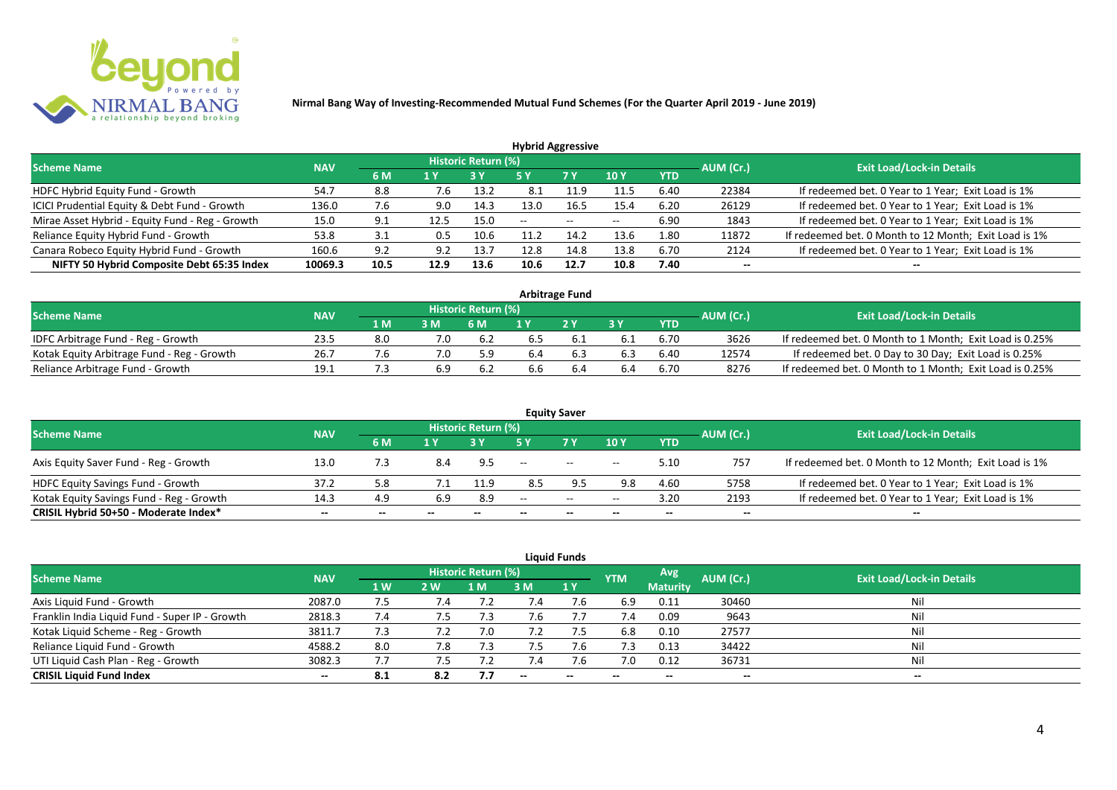

| <b>Hybrid Aggressive</b>                        |            |      |      |                     |        |               |            |            |           |                                                       |  |  |  |
|-------------------------------------------------|------------|------|------|---------------------|--------|---------------|------------|------------|-----------|-------------------------------------------------------|--|--|--|
| <b>Scheme Name</b>                              | <b>NAV</b> |      |      | Historic Return (%) |        |               |            |            | AUM (Cr.) | <b>Exit Load/Lock-in Details</b>                      |  |  |  |
|                                                 |            | 6 M  | 1 Y  |                     | 5 Y    | 7 Y           | <b>10Y</b> | <b>YTD</b> |           |                                                       |  |  |  |
| HDFC Hybrid Equity Fund - Growth                | 54.7       | 8.8  | 7.6  | 13.2                | 8.1    | 11.9          | 11.5       | 6.40       | 22384     | If redeemed bet. 0 Year to 1 Year; Exit Load is 1%    |  |  |  |
| ICICI Prudential Equity & Debt Fund - Growth    | 136.0      | 7.6  | 9.0  | 14.3                | 13.0   | 16.5          | 15.4       | 6.20       | 26129     | If redeemed bet. 0 Year to 1 Year; Exit Load is 1%    |  |  |  |
| Mirae Asset Hybrid - Equity Fund - Reg - Growth | 15.0       | 9.1  | 12.5 | 15.0                | $\sim$ | $\sim$ $\sim$ | $- -$      | 6.90       | 1843      | If redeemed bet. 0 Year to 1 Year; Exit Load is 1%    |  |  |  |
| Reliance Equity Hybrid Fund - Growth            | 53.8       | 3.1  | 0.5  | 10.6                |        | 14.7          | 13.6       | 1.80       | 11872     | If redeemed bet. 0 Month to 12 Month; Exit Load is 1% |  |  |  |
| Canara Robeco Equity Hybrid Fund - Growth       | 160.6      | 9.2  | 9.2  | 13.7                | 12.8   | 14.8          | 13.8       | 6.70       | 2124      | If redeemed bet. 0 Year to 1 Year; Exit Load is 1%    |  |  |  |
| NIFTY 50 Hybrid Composite Debt 65:35 Index      | 10069.3    | 10.5 | 12.9 | 13.6                | 10.6   | 12.7          | 10.8       | 7.40       | --        |                                                       |  |  |  |
|                                                 |            |      |      |                     |        |               |            |            |           |                                                       |  |  |  |

| <b>Arbitrage Fund</b>                      |            |                  |               |                            |     |     |     |            |           |                                                         |  |  |  |
|--------------------------------------------|------------|------------------|---------------|----------------------------|-----|-----|-----|------------|-----------|---------------------------------------------------------|--|--|--|
| <b>Scheme Name</b>                         | <b>NAV</b> |                  |               | <b>Historic Return (%)</b> |     |     |     |            | AUM (Cr.) | <b>Exit Load/Lock-in Details</b>                        |  |  |  |
|                                            |            | $4\,$ M $\prime$ | 3M            | 6 M                        |     | 2V  |     | <b>YTD</b> |           |                                                         |  |  |  |
| IDFC Arbitrage Fund - Reg - Growth         | 23.5       |                  | 7.0           | 6.2                        |     |     |     | 6.70       | 3626      | If redeemed bet. 0 Month to 1 Month; Exit Load is 0.25% |  |  |  |
| Kotak Equity Arbitrage Fund - Reg - Growth | 26.7       |                  | $7.0^{\circ}$ | 5.9                        | 6.4 | b.3 | 6.3 | 6.40       | 12574     | If redeemed bet. 0 Day to 30 Day; Exit Load is 0.25%    |  |  |  |
| Reliance Arbitrage Fund - Growth           | 19.1       |                  | 6.9           | -6.2                       | 6.6 |     | 6.4 | 6.70       | 8276      | If redeemed bet. 0 Month to 1 Month; Exit Load is 0.25% |  |  |  |

|                                          |            |     |                          |                     |                          | <b>Equity Saver</b>      |            |            |           |                                                       |
|------------------------------------------|------------|-----|--------------------------|---------------------|--------------------------|--------------------------|------------|------------|-----------|-------------------------------------------------------|
| <b>Scheme Name</b>                       | <b>NAV</b> |     |                          | Historic Return (%) |                          |                          |            |            | AUM (Cr.) | <b>Exit Load/Lock-in Details</b>                      |
|                                          |            | 6 M | 1 V                      |                     |                          | 7 Y                      | <b>10Y</b> | <b>YTD</b> |           |                                                       |
| Axis Equity Saver Fund - Reg - Growth    | 13.0       | 3.' |                          | 9.5                 | $\overline{\phantom{a}}$ | $- -$                    | $- -$      | 5.10       | 757       | If redeemed bet. 0 Month to 12 Month; Exit Load is 1% |
| <b>HDFC Equity Savings Fund - Growth</b> | 37.2       | 5.8 |                          | 11.9                | 8.5                      |                          | 9.8        | 4.60       | 5758      | If redeemed bet. 0 Year to 1 Year; Exit Load is 1%    |
| Kotak Equity Savings Fund - Reg - Growth | 14.3       | 4.9 | 6.9                      | 8.9                 | $- -$                    | $  \,$                   | $- -$      | 3.20       | 2193      | If redeemed bet. 0 Year to 1 Year; Exit Load is 1%    |
| CRISIL Hybrid 50+50 - Moderate Index*    | $- -$      |     | $\overline{\phantom{a}}$ | $- -$               | $- -$                    | $\overline{\phantom{a}}$ | --         | $- -$      | $- -$     | $- -$                                                 |

| <b>Liquid Funds</b>                            |            |           |     |                            |            |           |            |                 |           |                                  |  |  |  |
|------------------------------------------------|------------|-----------|-----|----------------------------|------------|-----------|------------|-----------------|-----------|----------------------------------|--|--|--|
| <b>Scheme Name</b>                             | <b>NAV</b> |           |     | <b>Historic Return (%)</b> |            |           | <b>YTM</b> | Avg             | AUM (Cr.) | <b>Exit Load/Lock-in Details</b> |  |  |  |
|                                                |            | <b>1W</b> | 2W  | 1 M                        | 3 M        | <b>1Y</b> |            | <b>Maturity</b> |           |                                  |  |  |  |
| Axis Liquid Fund - Growth                      | 2087.0     | 7.5       | 1.4 |                            | $\sqrt{4}$ | 7.6       | 6.9        | 0.11            | 30460     | Nil                              |  |  |  |
| Franklin India Liquid Fund - Super IP - Growth | 2818.3     | 7.4       | د.' | 7.3                        | 7.6        |           | 7.4        | 0.09            | 9643      | Nil                              |  |  |  |
| Kotak Liquid Scheme - Reg - Growth             | 3811.7     | 7.3       | 7.2 | 7.0                        | 7.2        |           | 6.8        | 0.10            | 27577     | Nil                              |  |  |  |
| Reliance Liquid Fund - Growth                  | 4588.2     | 8.0       | 7.8 | 7.3                        | 7.5        | 7.6       | 7.3        | 0.13            | 34422     | Nil                              |  |  |  |
| UTI Liquid Cash Plan - Reg - Growth            | 3082.3     | 7.7       | כ.י | 7.2                        | 7.4        | 7.6       | 7.0        | 0.12            | 36731     | Nil                              |  |  |  |
| <b>CRISIL Liquid Fund Index</b>                | $- -$      | 8.1       | 8.2 | 7.7                        | $\sim$     | $-$       | $- -$      | $- -$           | $- -$     | $\sim$                           |  |  |  |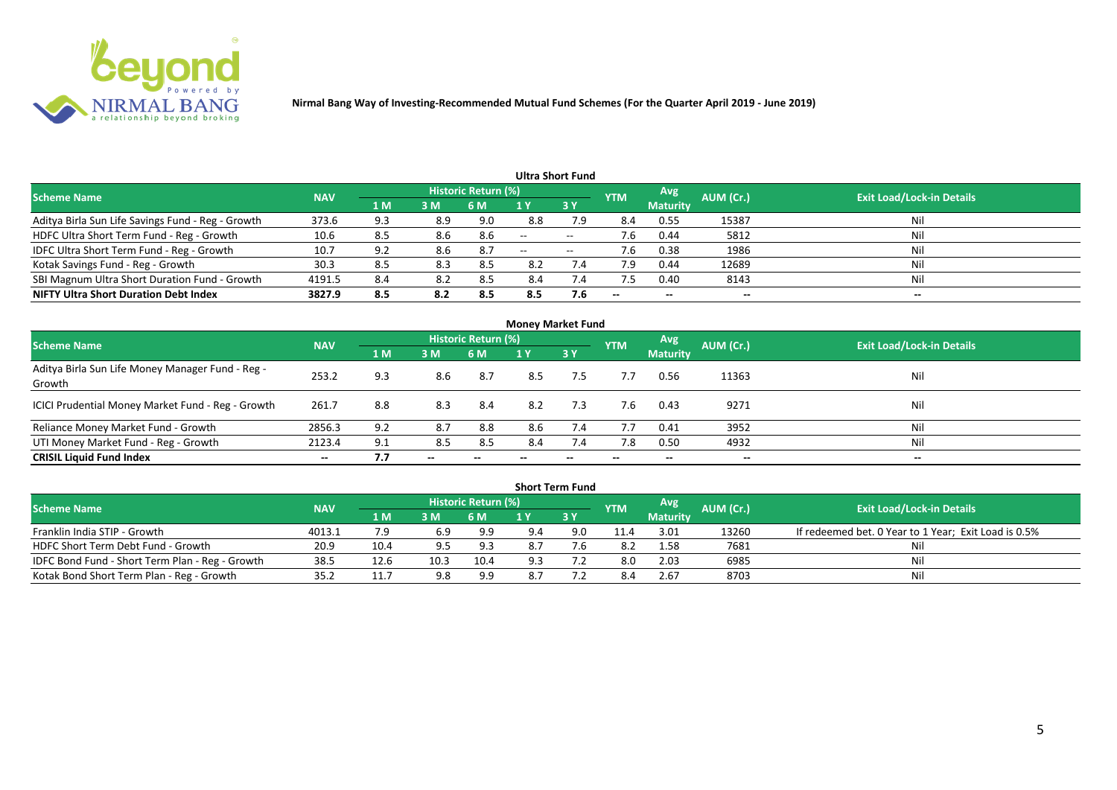

|                                                   |            |                |     |                            |                          | <b>Ultra Short Fund</b>  |            |                          |           |                                  |
|---------------------------------------------------|------------|----------------|-----|----------------------------|--------------------------|--------------------------|------------|--------------------------|-----------|----------------------------------|
| <b>Scheme Name</b>                                | <b>NAV</b> |                |     | <b>Historic Return (%)</b> |                          |                          | <b>YTM</b> | Avg                      | AUM (Cr.) | <b>Exit Load/Lock-in Details</b> |
|                                                   |            | 1 <sub>M</sub> | 3 M | 6 M                        |                          | 3Y                       |            | <b>Maturity</b>          |           |                                  |
| Aditya Birla Sun Life Savings Fund - Reg - Growth | 373.6      | 9.3            | 8.9 | 9.0                        | 8.8                      | 7.9                      | 8.4        | 0.55                     | 15387     | Nil                              |
| HDFC Ultra Short Term Fund - Reg - Growth         | 10.6       | 8.5            | 8.6 | 8.6                        | $\overline{\phantom{a}}$ | $\overline{\phantom{a}}$ | 7.6        | 0.44                     | 5812      | Nil                              |
| IDFC Ultra Short Term Fund - Reg - Growth         | 10.7       | 9.2            | 8.6 | -8.7                       | $- -$                    | $\overline{\phantom{a}}$ | 7.6        | 0.38                     | 1986      | Nil                              |
| Kotak Savings Fund - Reg - Growth                 | 30.3       | 8.5            | 8.3 | 8.5                        | 8.2                      | 7.4                      | 7.9        | 0.44                     | 12689     | Nil                              |
| SBI Magnum Ultra Short Duration Fund - Growth     | 4191.5     | 8.4            | 8.2 | 8.5                        | 8.4                      | 7.4                      | 7.5        | 0.40                     | 8143      | Nil                              |
| <b>NIFTY Ultra Short Duration Debt Index</b>      | 3827.9     | 8.5            | 8.2 | 8.5                        | 8.5                      | 7.6                      | $- -$      | $\overline{\phantom{a}}$ | --        | $- -$                            |

|                                                            |            |     |       |                     | <b>Money Market Fund</b> |           |            |                 |                          |                                  |
|------------------------------------------------------------|------------|-----|-------|---------------------|--------------------------|-----------|------------|-----------------|--------------------------|----------------------------------|
| <b>Scheme Name</b>                                         | <b>NAV</b> |     |       | Historic Return (%) |                          |           | <b>YTM</b> | <b>Avg.</b>     | AUM (Cr.)                | <b>Exit Load/Lock-in Details</b> |
|                                                            |            | 1 M | 3M    | 6 M                 | 1 Y                      | <b>3Y</b> |            | <b>Maturity</b> |                          |                                  |
| Aditya Birla Sun Life Money Manager Fund - Reg -<br>Growth | 253.2      | 9.3 | 8.6   | 8.7                 | 8.5                      | 7.5       | 7.7        | 0.56            | 11363                    | Nil                              |
| ICICI Prudential Money Market Fund - Reg - Growth          | 261.7      | 8.8 | 8.3   | -8.4                | 8.2                      | 7.3       | 7.6        | 0.43            | 9271                     | Nil                              |
| Reliance Money Market Fund - Growth                        | 2856.3     | 9.2 | 8.7   | 8.8                 | 8.6                      | 7.4       | 7.7        | 0.41            | 3952                     | Nil                              |
| UTI Money Market Fund - Reg - Growth                       | 2123.4     | 9.1 | 8.5   | 8.5                 | 8.4                      | 7.4       | 7.8        | 0.50            | 4932                     | Nil                              |
| <b>CRISIL Liquid Fund Index</b>                            | $- -$      | 7.7 | $- -$ |                     |                          | --        |            | $- -$           | $\overline{\phantom{a}}$ | $\hspace{0.05cm} \cdots$         |

|                                                 |            |             |      |                            |     | <b>Short Term Fund</b> |            |                 |           |                                                      |
|-------------------------------------------------|------------|-------------|------|----------------------------|-----|------------------------|------------|-----------------|-----------|------------------------------------------------------|
| <b>Scheme Name</b>                              | <b>NAV</b> |             |      | <b>Historic Return (%)</b> |     |                        | <b>YTM</b> | <b>Avg</b>      | AUM (Cr.) | <b>Exit Load/Lock-in Details</b>                     |
|                                                 |            | <b>4 MZ</b> | 3M   | 6 M                        |     | <b>3Y</b>              |            | <b>Maturity</b> |           |                                                      |
| Franklin India STIP - Growth                    | 4013.1     |             | 6.9  | 9.9                        | 9.4 | 9.0                    | 11.4       | 3.01            | 13260     | If redeemed bet. 0 Year to 1 Year; Exit Load is 0.5% |
| HDFC Short Term Debt Fund - Growth              | 20.9       | 10.4        | 9.5  | 9.3                        | 8.7 |                        | 8.2        | 1.58            | 7681      | Ni                                                   |
| IDFC Bond Fund - Short Term Plan - Reg - Growth | 38.5       | 12.6        | 10.3 | 10.4                       | 9.3 |                        | 8.0        | 2.03            | 6985      | Nil                                                  |
| Kotak Bond Short Term Plan - Reg - Growth       | 35.2       | 11.7        | 9.8  | 9.9                        |     |                        |            | 2.67            | 8703      | Nil                                                  |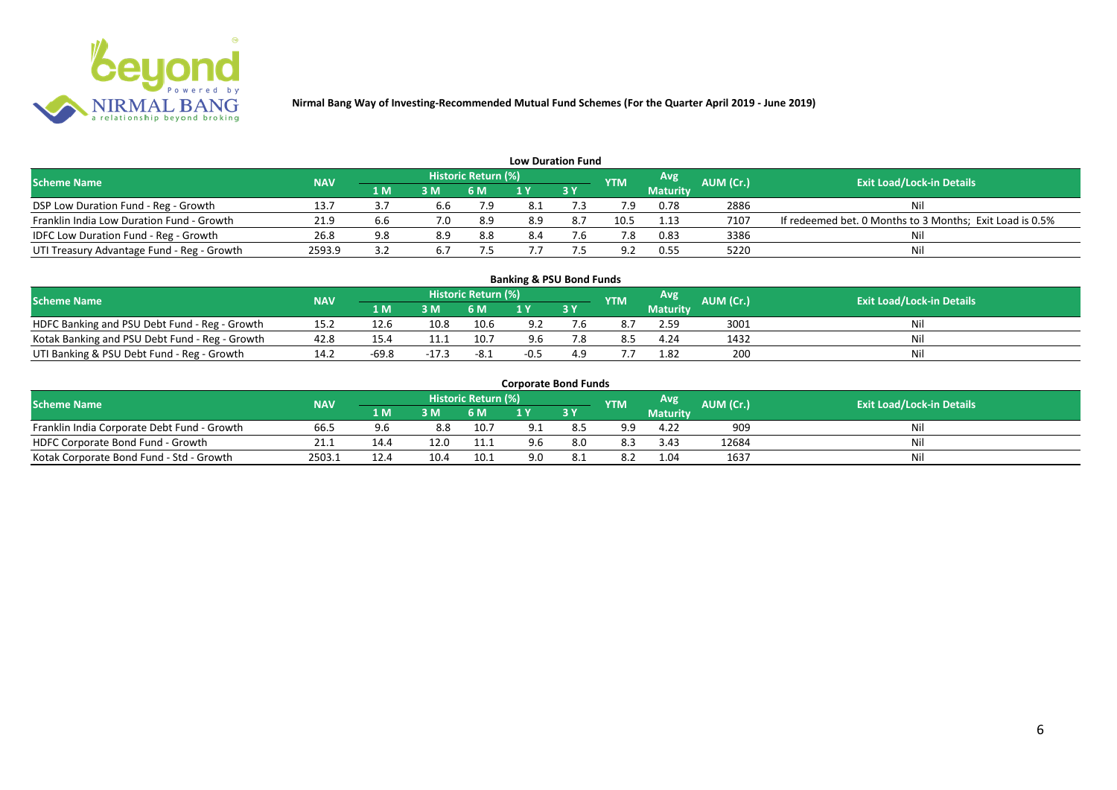

|                                            |            |     |                |                     |     | <b>Low Duration Fund</b> |                |                 |           |                                                          |
|--------------------------------------------|------------|-----|----------------|---------------------|-----|--------------------------|----------------|-----------------|-----------|----------------------------------------------------------|
| <b>Scheme Name</b>                         | <b>NAV</b> |     |                | Historic Return (%) |     |                          | <b>YTM</b>     | <b>Avg</b>      | AUM (Cr.) | <b>Exit Load/Lock-in Details</b>                         |
|                                            |            | 1 M | 3 <sub>N</sub> | 6 M                 |     | <b>3Y</b>                |                | <b>Maturity</b> |           |                                                          |
| DSP Low Duration Fund - Reg - Growth       | 13.7       |     | 6.6            | 7.9                 |     |                          | 7.9            | 0.78            | 2886      | Nil                                                      |
| Franklin India Low Duration Fund - Growth  | 21.9       | b.b | 7.0            | 8.9                 | 8.9 | 8.7                      | 10.5           | 1.13            | 7107      | If redeemed bet. 0 Months to 3 Months; Exit Load is 0.5% |
| IDFC Low Duration Fund - Reg - Growth      | 26.8       | 9.8 | 8.9            | 8.8                 | 8.4 |                          |                | 0.83            | 3386      | Nil                                                      |
| UTI Treasury Advantage Fund - Reg - Growth | 2593.9     |     |                |                     |     |                          | Q <sub>2</sub> | 0.55            | 5220      | Nil                                                      |

#### **Banking & PSU Bond Funds**

| <b>Scheme Name</b>                             | <b>NAV</b> |       |      | <b>Historic Return (%)</b> |     |    | <b>YTM</b> | Avg             | AUM (Cr.). | <b>Exit Load/Lock-in Details</b> |
|------------------------------------------------|------------|-------|------|----------------------------|-----|----|------------|-----------------|------------|----------------------------------|
|                                                |            | I M   | 3 M  |                            |     | 3Y |            | <b>Maturity</b> |            |                                  |
| HDFC Banking and PSU Debt Fund - Reg - Growth  | 15.2       | 12.6  | 10.8 | 10.6                       |     |    |            | 2.59            | 3001       |                                  |
| Kotak Banking and PSU Debt Fund - Reg - Growth | 42.8       | 15.4  |      | 10.7                       | 9.6 |    |            | 4.24            | 1432       |                                  |
| UTI Banking & PSU Debt Fund - Reg - Growth     | 14.2       | -69.8 |      | -8.1                       |     |    |            | 1.82            | 200        |                                  |

#### **Corporate Bond Funds**

| Scheme Name                                 | <b>NAV</b> |      |      | <b>Historic Return (%)</b> |     |    | <b>YTM</b> | Avg             | AUM (Cr.). | <b>Exit Load/Lock-in Details</b> |
|---------------------------------------------|------------|------|------|----------------------------|-----|----|------------|-----------------|------------|----------------------------------|
|                                             |            | 1 M' | 3 M  |                            |     | 3Y |            | <b>Maturity</b> |            |                                  |
| Franklin India Corporate Debt Fund - Growth | 66.5       | 9.6  | 8.8  | 10.7                       |     |    | -a q       | 4.22            | 909        | Ni                               |
| HDFC Corporate Bond Fund - Growth           | 21.1       |      |      | 11.1                       | 9.6 |    | 8.3        | 3.43            | 12684      | Nil                              |
| Kotak Corporate Bond Fund - Std - Growth    | 2503.      |      | 10.4 | 10.1                       | 9.0 |    | 8.2        | 1.04            | 1637       | Ni                               |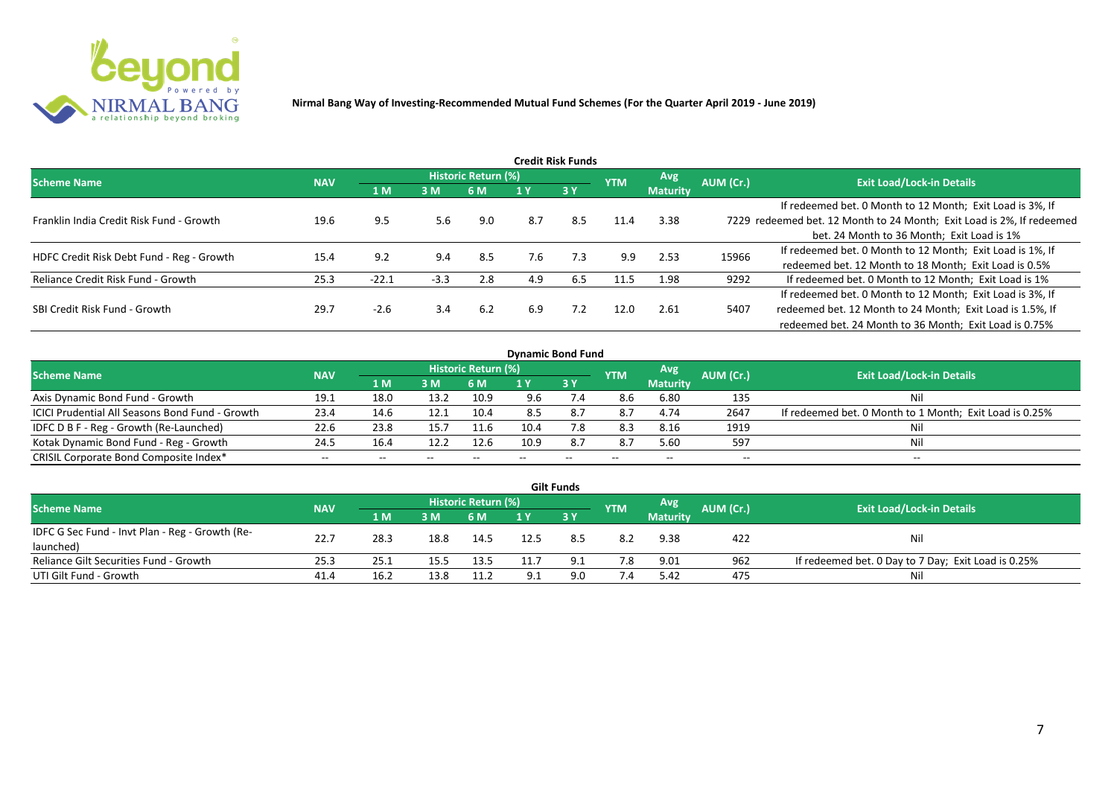

| Credit Risk Funds                         |            |         |        |                            |     |           |            |                 |           |                                                                       |  |  |  |
|-------------------------------------------|------------|---------|--------|----------------------------|-----|-----------|------------|-----------------|-----------|-----------------------------------------------------------------------|--|--|--|
| <b>Scheme Name</b>                        | <b>NAV</b> |         |        | <b>Historic Return (%)</b> |     |           | <b>YTM</b> | <b>Avg</b>      | AUM (Cr.) | <b>Exit Load/Lock-in Details</b>                                      |  |  |  |
|                                           |            | 1 M     | 3M     | 6 M                        |     | <b>3Y</b> |            | <b>Maturity</b> |           |                                                                       |  |  |  |
|                                           |            |         |        |                            |     |           |            |                 |           | If redeemed bet. 0 Month to 12 Month; Exit Load is 3%, If             |  |  |  |
| Franklin India Credit Risk Fund - Growth  | 19.6       | 9.5     | 5.6    | 9.0                        | 8.7 | 8.5       | 11.4       | 3.38            |           | 7229 redeemed bet. 12 Month to 24 Month; Exit Load is 2%, If redeemed |  |  |  |
|                                           |            |         |        |                            |     |           |            |                 |           | bet. 24 Month to 36 Month; Exit Load is 1%                            |  |  |  |
| HDFC Credit Risk Debt Fund - Reg - Growth | 15.4       | 9.2     | 9.4    | 8.5                        | 7.6 | 7.3       | 9.9        | 2.53            | 15966     | If redeemed bet. 0 Month to 12 Month; Exit Load is 1%, If             |  |  |  |
|                                           |            |         |        |                            |     |           |            |                 |           | redeemed bet. 12 Month to 18 Month; Exit Load is 0.5%                 |  |  |  |
| Reliance Credit Risk Fund - Growth        | 25.3       | $-22.1$ | $-3.3$ | 2.8                        | 4.9 | 6.5       | 11.5       | 1.98            | 9292      | If redeemed bet. 0 Month to 12 Month; Exit Load is 1%                 |  |  |  |
|                                           |            |         |        |                            |     |           |            |                 |           | If redeemed bet. 0 Month to 12 Month; Exit Load is 3%, If             |  |  |  |
| SBI Credit Risk Fund - Growth             | 29.7       | $-2.6$  | 3.4    | 6.2                        | 6.9 | 7.2       | 12.0       | 2.61            | 5407      | redeemed bet. 12 Month to 24 Month; Exit Load is 1.5%, If             |  |  |  |
|                                           |            |         |        |                            |     |           |            |                 |           | redeemed bet. 24 Month to 36 Month; Exit Load is 0.75%                |  |  |  |

| <b>Dynamic Bond Fund</b>                        |            |      |       |                            |      |       |            |                 |           |                                                         |  |  |  |  |
|-------------------------------------------------|------------|------|-------|----------------------------|------|-------|------------|-----------------|-----------|---------------------------------------------------------|--|--|--|--|
| <b>Scheme Name</b>                              | <b>NAV</b> |      |       | <b>Historic Return (%)</b> |      |       | <b>YTM</b> | Avg             | AUM (Cr.) | <b>Exit Load/Lock-in Details</b>                        |  |  |  |  |
|                                                 |            | 1 M  | 3M    | 6 M                        |      | 3Y    |            | <b>Maturity</b> |           |                                                         |  |  |  |  |
| Axis Dynamic Bond Fund - Growth                 | 19.1       | 18.0 | 13.2  | 10.9                       | 9.6  |       | 8.6        | 6.80            | 135       | Nil                                                     |  |  |  |  |
| ICICI Prudential All Seasons Bond Fund - Growth | 23.4       | 14.6 | 12.1  | 10.4                       | 8.5  |       | 8.7        | 4.74            | 2647      | If redeemed bet. 0 Month to 1 Month; Exit Load is 0.25% |  |  |  |  |
| IDFC D B F - Reg - Growth (Re-Launched)         | 22.6       | 23.8 | 15.7  |                            | 10.4 | 7.8   | 8.3        | 8.16            | 1919      | Nil                                                     |  |  |  |  |
| Kotak Dynamic Bond Fund - Reg - Growth          | 24.5       | 16.4 | 12.2  | 12.6                       | 10.9 | 8.7   | 8.7        | 5.60            | 597       | Nil                                                     |  |  |  |  |
| CRISIL Corporate Bond Composite Index*          | $- -$      | --   | $- -$ |                            |      | $- -$ | $-$        | --              | --        | $- -$                                                   |  |  |  |  |

|                                                 |            |      |      |                     |     | <b>Gilt Funds</b> |            |                 |           |                                                     |
|-------------------------------------------------|------------|------|------|---------------------|-----|-------------------|------------|-----------------|-----------|-----------------------------------------------------|
| <b>Scheme Name</b>                              | <b>NAV</b> |      |      | Historic Return (%) |     |                   | <b>YTM</b> | Avg             | AUM (Cr.) | <b>Exit Load/Lock-in Details</b>                    |
|                                                 |            | 1 M  | 3 M  | 6 M.                | 1 Y | 73 Y              |            | <b>Maturity</b> |           |                                                     |
| IDFC G Sec Fund - Invt Plan - Reg - Growth (Re- | 22.7       | 28.3 | 18.8 | 14.5                |     |                   | 8.2        | 9.38            | 422       | Nil                                                 |
| launched)                                       |            |      |      |                     |     |                   |            |                 |           |                                                     |
| Reliance Gilt Securities Fund - Growth          | 25.3       | 25.1 | 15.5 | 13.5                |     |                   | 7.8        | 9.01            | 962       | If redeemed bet. 0 Day to 7 Day; Exit Load is 0.25% |
| UTI Gilt Fund - Growth                          | 41.4       | 16.2 | 13.8 | 11.2                | Q 1 | 9.0               | 7.4        | 5.42            | 475       | Nil                                                 |